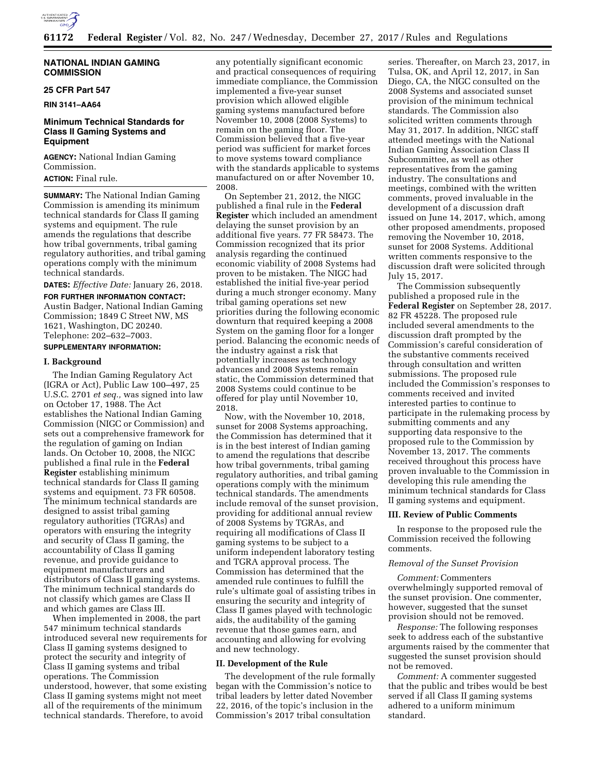

## **NATIONAL INDIAN GAMING COMMISSION**

## **25 CFR Part 547**

**RIN 3141–AA64** 

# **Minimum Technical Standards for Class II Gaming Systems and Equipment**

**AGENCY:** National Indian Gaming Commission.

**ACTION:** Final rule.

**SUMMARY:** The National Indian Gaming Commission is amending its minimum technical standards for Class II gaming systems and equipment. The rule amends the regulations that describe how tribal governments, tribal gaming regulatory authorities, and tribal gaming operations comply with the minimum technical standards.

**DATES:** *Effective Date:* January 26, 2018.

**FOR FURTHER INFORMATION CONTACT:**  Austin Badger, National Indian Gaming Commission; 1849 C Street NW, MS 1621, Washington, DC 20240. Telephone: 202–632–7003.

# **SUPPLEMENTARY INFORMATION:**

## **I. Background**

The Indian Gaming Regulatory Act (IGRA or Act), Public Law 100–497, 25 U.S.C. 2701 *et seq.,* was signed into law on October 17, 1988. The Act establishes the National Indian Gaming Commission (NIGC or Commission) and sets out a comprehensive framework for the regulation of gaming on Indian lands. On October 10, 2008, the NIGC published a final rule in the **Federal Register** establishing minimum technical standards for Class II gaming systems and equipment. 73 FR 60508. The minimum technical standards are designed to assist tribal gaming regulatory authorities (TGRAs) and operators with ensuring the integrity and security of Class II gaming, the accountability of Class II gaming revenue, and provide guidance to equipment manufacturers and distributors of Class II gaming systems. The minimum technical standards do not classify which games are Class II and which games are Class III.

When implemented in 2008, the part 547 minimum technical standards introduced several new requirements for Class II gaming systems designed to protect the security and integrity of Class II gaming systems and tribal operations. The Commission understood, however, that some existing Class II gaming systems might not meet all of the requirements of the minimum technical standards. Therefore, to avoid

any potentially significant economic and practical consequences of requiring immediate compliance, the Commission implemented a five-year sunset provision which allowed eligible gaming systems manufactured before November 10, 2008 (2008 Systems) to remain on the gaming floor. The Commission believed that a five-year period was sufficient for market forces to move systems toward compliance with the standards applicable to systems manufactured on or after November 10, 2008.

On September 21, 2012, the NIGC published a final rule in the **Federal Register** which included an amendment delaying the sunset provision by an additional five years. 77 FR 58473. The Commission recognized that its prior analysis regarding the continued economic viability of 2008 Systems had proven to be mistaken. The NIGC had established the initial five-year period during a much stronger economy. Many tribal gaming operations set new priorities during the following economic downturn that required keeping a 2008 System on the gaming floor for a longer period. Balancing the economic needs of the industry against a risk that potentially increases as technology advances and 2008 Systems remain static, the Commission determined that 2008 Systems could continue to be offered for play until November 10, 2018.

Now, with the November 10, 2018, sunset for 2008 Systems approaching, the Commission has determined that it is in the best interest of Indian gaming to amend the regulations that describe how tribal governments, tribal gaming regulatory authorities, and tribal gaming operations comply with the minimum technical standards. The amendments include removal of the sunset provision, providing for additional annual review of 2008 Systems by TGRAs, and requiring all modifications of Class II gaming systems to be subject to a uniform independent laboratory testing and TGRA approval process. The Commission has determined that the amended rule continues to fulfill the rule's ultimate goal of assisting tribes in ensuring the security and integrity of Class II games played with technologic aids, the auditability of the gaming revenue that those games earn, and accounting and allowing for evolving and new technology.

### **II. Development of the Rule**

The development of the rule formally began with the Commission's notice to tribal leaders by letter dated November 22, 2016, of the topic's inclusion in the Commission's 2017 tribal consultation

series. Thereafter, on March 23, 2017, in Tulsa, OK, and April 12, 2017, in San Diego, CA, the NIGC consulted on the 2008 Systems and associated sunset provision of the minimum technical standards. The Commission also solicited written comments through May 31, 2017. In addition, NIGC staff attended meetings with the National Indian Gaming Association Class II Subcommittee, as well as other representatives from the gaming industry. The consultations and meetings, combined with the written comments, proved invaluable in the development of a discussion draft issued on June 14, 2017, which, among other proposed amendments, proposed removing the November 10, 2018, sunset for 2008 Systems. Additional written comments responsive to the discussion draft were solicited through July 15, 2017.

The Commission subsequently published a proposed rule in the **Federal Register** on September 28, 2017. 82 FR 45228. The proposed rule included several amendments to the discussion draft prompted by the Commission's careful consideration of the substantive comments received through consultation and written submissions. The proposed rule included the Commission's responses to comments received and invited interested parties to continue to participate in the rulemaking process by submitting comments and any supporting data responsive to the proposed rule to the Commission by November 13, 2017. The comments received throughout this process have proven invaluable to the Commission in developing this rule amending the minimum technical standards for Class II gaming systems and equipment.

#### **III. Review of Public Comments**

In response to the proposed rule the Commission received the following comments.

# *Removal of the Sunset Provision*

*Comment:* Commenters overwhelmingly supported removal of the sunset provision. One commenter, however, suggested that the sunset provision should not be removed.

*Response:* The following responses seek to address each of the substantive arguments raised by the commenter that suggested the sunset provision should not be removed.

*Comment:* A commenter suggested that the public and tribes would be best served if all Class II gaming systems adhered to a uniform minimum standard.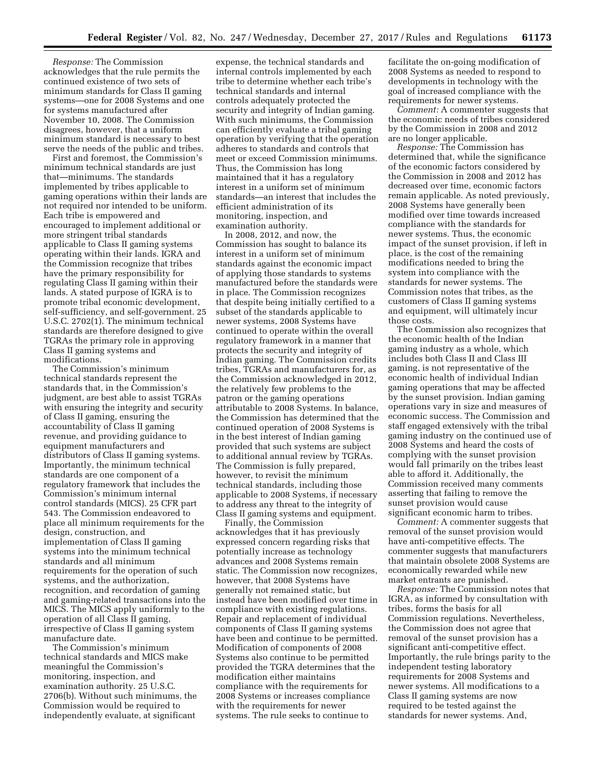*Response:* The Commission acknowledges that the rule permits the continued existence of two sets of minimum standards for Class II gaming systems—one for 2008 Systems and one for systems manufactured after November 10, 2008. The Commission disagrees, however, that a uniform minimum standard is necessary to best serve the needs of the public and tribes.

First and foremost, the Commission's minimum technical standards are just that—minimums. The standards implemented by tribes applicable to gaming operations within their lands are not required nor intended to be uniform. Each tribe is empowered and encouraged to implement additional or more stringent tribal standards applicable to Class II gaming systems operating within their lands. IGRA and the Commission recognize that tribes have the primary responsibility for regulating Class II gaming within their lands. A stated purpose of IGRA is to promote tribal economic development, self-sufficiency, and self-government. 25 U.S.C. 2702(1). The minimum technical standards are therefore designed to give TGRAs the primary role in approving Class II gaming systems and modifications.

The Commission's minimum technical standards represent the standards that, in the Commission's judgment, are best able to assist TGRAs with ensuring the integrity and security of Class II gaming, ensuring the accountability of Class II gaming revenue, and providing guidance to equipment manufacturers and distributors of Class II gaming systems. Importantly, the minimum technical standards are one component of a regulatory framework that includes the Commission's minimum internal control standards (MICS). 25 CFR part 543. The Commission endeavored to place all minimum requirements for the design, construction, and implementation of Class II gaming systems into the minimum technical standards and all minimum requirements for the operation of such systems, and the authorization, recognition, and recordation of gaming and gaming-related transactions into the MICS. The MICS apply uniformly to the operation of all Class II gaming, irrespective of Class II gaming system manufacture date.

The Commission's minimum technical standards and MICS make meaningful the Commission's monitoring, inspection, and examination authority. 25 U.S.C. 2706(b). Without such minimums, the Commission would be required to independently evaluate, at significant

expense, the technical standards and internal controls implemented by each tribe to determine whether each tribe's technical standards and internal controls adequately protected the security and integrity of Indian gaming. With such minimums, the Commission can efficiently evaluate a tribal gaming operation by verifying that the operation adheres to standards and controls that meet or exceed Commission minimums. Thus, the Commission has long maintained that it has a regulatory interest in a uniform set of minimum standards—an interest that includes the efficient administration of its monitoring, inspection, and examination authority.

In 2008, 2012, and now, the Commission has sought to balance its interest in a uniform set of minimum standards against the economic impact of applying those standards to systems manufactured before the standards were in place. The Commission recognizes that despite being initially certified to a subset of the standards applicable to newer systems, 2008 Systems have continued to operate within the overall regulatory framework in a manner that protects the security and integrity of Indian gaming. The Commission credits tribes, TGRAs and manufacturers for, as the Commission acknowledged in 2012, the relatively few problems to the patron or the gaming operations attributable to 2008 Systems. In balance, the Commission has determined that the continued operation of 2008 Systems is in the best interest of Indian gaming provided that such systems are subject to additional annual review by TGRAs. The Commission is fully prepared, however, to revisit the minimum technical standards, including those applicable to 2008 Systems, if necessary to address any threat to the integrity of Class II gaming systems and equipment.

Finally, the Commission acknowledges that it has previously expressed concern regarding risks that potentially increase as technology advances and 2008 Systems remain static. The Commission now recognizes, however, that 2008 Systems have generally not remained static, but instead have been modified over time in compliance with existing regulations. Repair and replacement of individual components of Class II gaming systems have been and continue to be permitted. Modification of components of 2008 Systems also continue to be permitted provided the TGRA determines that the modification either maintains compliance with the requirements for 2008 Systems or increases compliance with the requirements for newer systems. The rule seeks to continue to

facilitate the on-going modification of 2008 Systems as needed to respond to developments in technology with the goal of increased compliance with the requirements for newer systems.

*Comment:* A commenter suggests that the economic needs of tribes considered by the Commission in 2008 and 2012 are no longer applicable.

*Response:* The Commission has determined that, while the significance of the economic factors considered by the Commission in 2008 and 2012 has decreased over time, economic factors remain applicable. As noted previously, 2008 Systems have generally been modified over time towards increased compliance with the standards for newer systems. Thus, the economic impact of the sunset provision, if left in place, is the cost of the remaining modifications needed to bring the system into compliance with the standards for newer systems. The Commission notes that tribes, as the customers of Class II gaming systems and equipment, will ultimately incur those costs.

The Commission also recognizes that the economic health of the Indian gaming industry as a whole, which includes both Class II and Class III gaming, is not representative of the economic health of individual Indian gaming operations that may be affected by the sunset provision. Indian gaming operations vary in size and measures of economic success. The Commission and staff engaged extensively with the tribal gaming industry on the continued use of 2008 Systems and heard the costs of complying with the sunset provision would fall primarily on the tribes least able to afford it. Additionally, the Commission received many comments asserting that failing to remove the sunset provision would cause significant economic harm to tribes.

*Comment:* A commenter suggests that removal of the sunset provision would have anti-competitive effects. The commenter suggests that manufacturers that maintain obsolete 2008 Systems are economically rewarded while new market entrants are punished.

*Response:* The Commission notes that IGRA, as informed by consultation with tribes, forms the basis for all Commission regulations. Nevertheless, the Commission does not agree that removal of the sunset provision has a significant anti-competitive effect. Importantly, the rule brings parity to the independent testing laboratory requirements for 2008 Systems and newer systems. All modifications to a Class II gaming systems are now required to be tested against the standards for newer systems. And,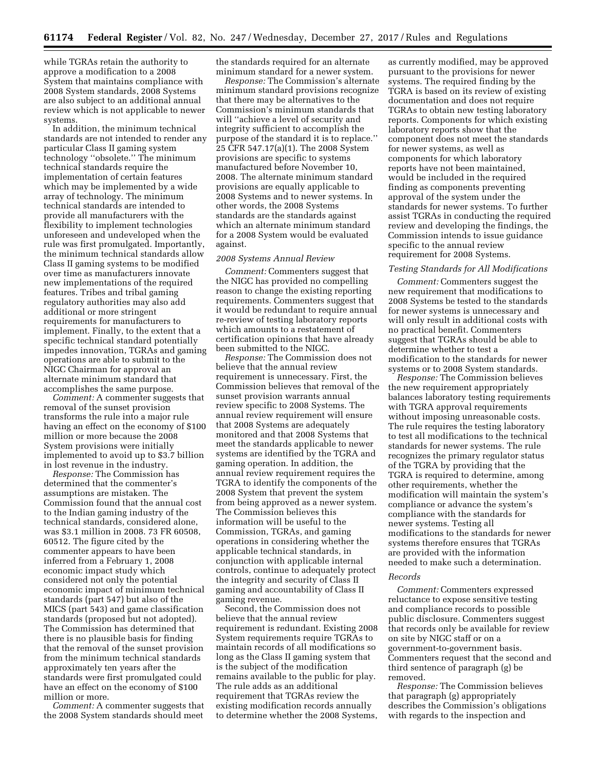while TGRAs retain the authority to approve a modification to a 2008 System that maintains compliance with 2008 System standards, 2008 Systems are also subject to an additional annual review which is not applicable to newer systems.

In addition, the minimum technical standards are not intended to render any particular Class II gaming system technology ''obsolete.'' The minimum technical standards require the implementation of certain features which may be implemented by a wide array of technology. The minimum technical standards are intended to provide all manufacturers with the flexibility to implement technologies unforeseen and undeveloped when the rule was first promulgated. Importantly, the minimum technical standards allow Class II gaming systems to be modified over time as manufacturers innovate new implementations of the required features. Tribes and tribal gaming regulatory authorities may also add additional or more stringent requirements for manufacturers to implement. Finally, to the extent that a specific technical standard potentially impedes innovation, TGRAs and gaming operations are able to submit to the NIGC Chairman for approval an alternate minimum standard that accomplishes the same purpose.

*Comment:* A commenter suggests that removal of the sunset provision transforms the rule into a major rule having an effect on the economy of \$100 million or more because the 2008 System provisions were initially implemented to avoid up to \$3.7 billion in lost revenue in the industry.

*Response:* The Commission has determined that the commenter's assumptions are mistaken. The Commission found that the annual cost to the Indian gaming industry of the technical standards, considered alone, was \$3.1 million in 2008. 73 FR 60508, 60512. The figure cited by the commenter appears to have been inferred from a February 1, 2008 economic impact study which considered not only the potential economic impact of minimum technical standards (part 547) but also of the MICS (part 543) and game classification standards (proposed but not adopted). The Commission has determined that there is no plausible basis for finding that the removal of the sunset provision from the minimum technical standards approximately ten years after the standards were first promulgated could have an effect on the economy of \$100 million or more.

*Comment:* A commenter suggests that the 2008 System standards should meet the standards required for an alternate minimum standard for a newer system.

*Response:* The Commission's alternate minimum standard provisions recognize that there may be alternatives to the Commission's minimum standards that will ''achieve a level of security and integrity sufficient to accomplish the purpose of the standard it is to replace.'' 25 CFR 547.17(a)(1). The 2008 System provisions are specific to systems manufactured before November 10, 2008. The alternate minimum standard provisions are equally applicable to 2008 Systems and to newer systems. In other words, the 2008 Systems standards are the standards against which an alternate minimum standard for a 2008 System would be evaluated against.

#### *2008 Systems Annual Review*

*Comment:* Commenters suggest that the NIGC has provided no compelling reason to change the existing reporting requirements. Commenters suggest that it would be redundant to require annual re-review of testing laboratory reports which amounts to a restatement of certification opinions that have already been submitted to the NIGC.

*Response:* The Commission does not believe that the annual review requirement is unnecessary. First, the Commission believes that removal of the sunset provision warrants annual review specific to 2008 Systems. The annual review requirement will ensure that 2008 Systems are adequately monitored and that 2008 Systems that meet the standards applicable to newer systems are identified by the TGRA and gaming operation. In addition, the annual review requirement requires the TGRA to identify the components of the 2008 System that prevent the system from being approved as a newer system. The Commission believes this information will be useful to the Commission, TGRAs, and gaming operations in considering whether the applicable technical standards, in conjunction with applicable internal controls, continue to adequately protect the integrity and security of Class II gaming and accountability of Class II gaming revenue.

Second, the Commission does not believe that the annual review requirement is redundant. Existing 2008 System requirements require TGRAs to maintain records of all modifications so long as the Class II gaming system that is the subject of the modification remains available to the public for play. The rule adds as an additional requirement that TGRAs review the existing modification records annually to determine whether the 2008 Systems,

as currently modified, may be approved pursuant to the provisions for newer systems. The required finding by the TGRA is based on its review of existing documentation and does not require TGRAs to obtain new testing laboratory reports. Components for which existing laboratory reports show that the component does not meet the standards for newer systems, as well as components for which laboratory reports have not been maintained, would be included in the required finding as components preventing approval of the system under the standards for newer systems. To further assist TGRAs in conducting the required review and developing the findings, the Commission intends to issue guidance specific to the annual review requirement for 2008 Systems.

#### *Testing Standards for All Modifications*

*Comment:* Commenters suggest the new requirement that modifications to 2008 Systems be tested to the standards for newer systems is unnecessary and will only result in additional costs with no practical benefit. Commenters suggest that TGRAs should be able to determine whether to test a modification to the standards for newer systems or to 2008 System standards.

*Response:* The Commission believes the new requirement appropriately balances laboratory testing requirements with TGRA approval requirements without imposing unreasonable costs. The rule requires the testing laboratory to test all modifications to the technical standards for newer systems. The rule recognizes the primary regulator status of the TGRA by providing that the TGRA is required to determine, among other requirements, whether the modification will maintain the system's compliance or advance the system's compliance with the standards for newer systems. Testing all modifications to the standards for newer systems therefore ensures that TGRAs are provided with the information needed to make such a determination.

### *Records*

*Comment:* Commenters expressed reluctance to expose sensitive testing and compliance records to possible public disclosure. Commenters suggest that records only be available for review on site by NIGC staff or on a government-to-government basis. Commenters request that the second and third sentence of paragraph (g) be removed.

*Response:* The Commission believes that paragraph (g) appropriately describes the Commission's obligations with regards to the inspection and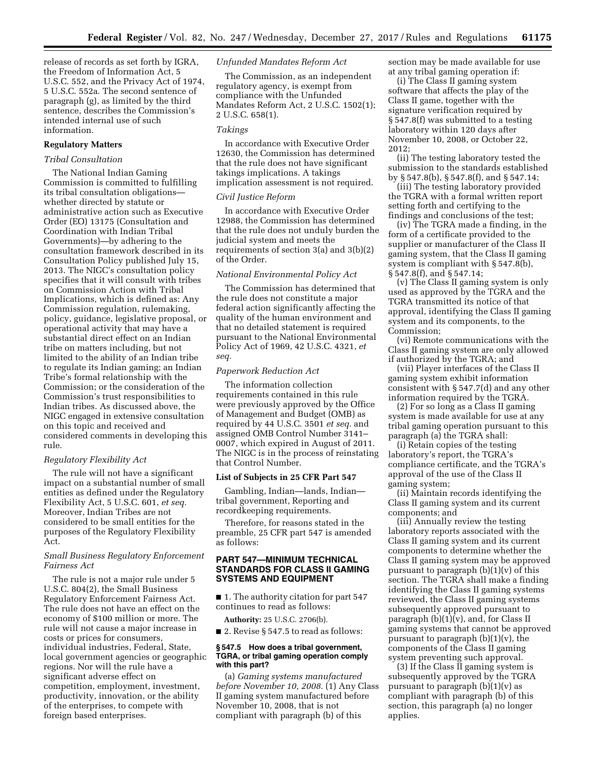release of records as set forth by IGRA, the Freedom of Information Act, 5 U.S.C. 552, and the Privacy Act of 1974, 5 U.S.C. 552a. The second sentence of paragraph (g), as limited by the third sentence, describes the Commission's intended internal use of such information.

# **Regulatory Matters**

### *Tribal Consultation*

The National Indian Gaming Commission is committed to fulfilling its tribal consultation obligations whether directed by statute or administrative action such as Executive Order (EO) 13175 (Consultation and Coordination with Indian Tribal Governments)—by adhering to the consultation framework described in its Consultation Policy published July 15, 2013. The NIGC's consultation policy specifies that it will consult with tribes on Commission Action with Tribal Implications, which is defined as: Any Commission regulation, rulemaking, policy, guidance, legislative proposal, or operational activity that may have a substantial direct effect on an Indian tribe on matters including, but not limited to the ability of an Indian tribe to regulate its Indian gaming; an Indian Tribe's formal relationship with the Commission; or the consideration of the Commission's trust responsibilities to Indian tribes. As discussed above, the NIGC engaged in extensive consultation on this topic and received and considered comments in developing this rule.

### *Regulatory Flexibility Act*

The rule will not have a significant impact on a substantial number of small entities as defined under the Regulatory Flexibility Act, 5 U.S.C. 601, *et seq.*  Moreover, Indian Tribes are not considered to be small entities for the purposes of the Regulatory Flexibility Act.

# *Small Business Regulatory Enforcement Fairness Act*

The rule is not a major rule under 5 U.S.C. 804(2), the Small Business Regulatory Enforcement Fairness Act. The rule does not have an effect on the economy of \$100 million or more. The rule will not cause a major increase in costs or prices for consumers, individual industries, Federal, State, local government agencies or geographic regions. Nor will the rule have a significant adverse effect on competition, employment, investment, productivity, innovation, or the ability of the enterprises, to compete with foreign based enterprises.

### *Unfunded Mandates Reform Act*

The Commission, as an independent regulatory agency, is exempt from compliance with the Unfunded Mandates Reform Act, 2 U.S.C. 1502(1); 2 U.S.C. 658(1).

#### *Takings*

In accordance with Executive Order 12630, the Commission has determined that the rule does not have significant takings implications. A takings implication assessment is not required.

# *Civil Justice Reform*

In accordance with Executive Order 12988, the Commission has determined that the rule does not unduly burden the judicial system and meets the requirements of section 3(a) and 3(b)(2) of the Order.

## *National Environmental Policy Act*

The Commission has determined that the rule does not constitute a major federal action significantly affecting the quality of the human environment and that no detailed statement is required pursuant to the National Environmental Policy Act of 1969, 42 U.S.C. 4321, *et seq.* 

#### *Paperwork Reduction Act*

The information collection requirements contained in this rule were previously approved by the Office of Management and Budget (OMB) as required by 44 U.S.C. 3501 *et seq.* and assigned OMB Control Number 3141– 0007, which expired in August of 2011. The NIGC is in the process of reinstating that Control Number.

#### **List of Subjects in 25 CFR Part 547**

Gambling, Indian—lands, Indian tribal government, Reporting and recordkeeping requirements.

Therefore, for reasons stated in the preamble, 25 CFR part 547 is amended as follows:

# **PART 547—MINIMUM TECHNICAL STANDARDS FOR CLASS II GAMING SYSTEMS AND EQUIPMENT**

■ 1. The authority citation for part 547 continues to read as follows:

**Authority:** 25 U.S.C. 2706(b).

■ 2. Revise § 547.5 to read as follows:

## **§ 547.5 How does a tribal government, TGRA, or tribal gaming operation comply with this part?**

(a) *Gaming systems manufactured before November 10, 2008.* (1) Any Class II gaming system manufactured before November 10, 2008, that is not compliant with paragraph (b) of this

section may be made available for use at any tribal gaming operation if:

(i) The Class II gaming system software that affects the play of the Class II game, together with the signature verification required by § 547.8(f) was submitted to a testing laboratory within 120 days after November 10, 2008, or October 22, 2012;

(ii) The testing laboratory tested the submission to the standards established by § 547.8(b), § 547.8(f), and § 547.14;

(iii) The testing laboratory provided the TGRA with a formal written report setting forth and certifying to the findings and conclusions of the test;

(iv) The TGRA made a finding, in the form of a certificate provided to the supplier or manufacturer of the Class II gaming system, that the Class II gaming system is compliant with § 547.8(b), § 547.8(f), and § 547.14;

(v) The Class II gaming system is only used as approved by the TGRA and the TGRA transmitted its notice of that approval, identifying the Class II gaming system and its components, to the Commission;

(vi) Remote communications with the Class II gaming system are only allowed if authorized by the TGRA; and

(vii) Player interfaces of the Class II gaming system exhibit information consistent with § 547.7(d) and any other information required by the TGRA.

(2) For so long as a Class II gaming system is made available for use at any tribal gaming operation pursuant to this paragraph (a) the TGRA shall:

(i) Retain copies of the testing laboratory's report, the TGRA's compliance certificate, and the TGRA's approval of the use of the Class II gaming system;

(ii) Maintain records identifying the Class II gaming system and its current components; and

(iii) Annually review the testing laboratory reports associated with the Class II gaming system and its current components to determine whether the Class II gaming system may be approved pursuant to paragraph  $(b)(1)(v)$  of this section. The TGRA shall make a finding identifying the Class II gaming systems reviewed, the Class II gaming systems subsequently approved pursuant to paragraph  $(b)(1)(v)$ , and, for Class II gaming systems that cannot be approved pursuant to paragraph  $(b)(1)(v)$ , the components of the Class II gaming system preventing such approval.

(3) If the Class II gaming system is subsequently approved by the TGRA pursuant to paragraph (b)(1)(v) as compliant with paragraph (b) of this section, this paragraph (a) no longer applies.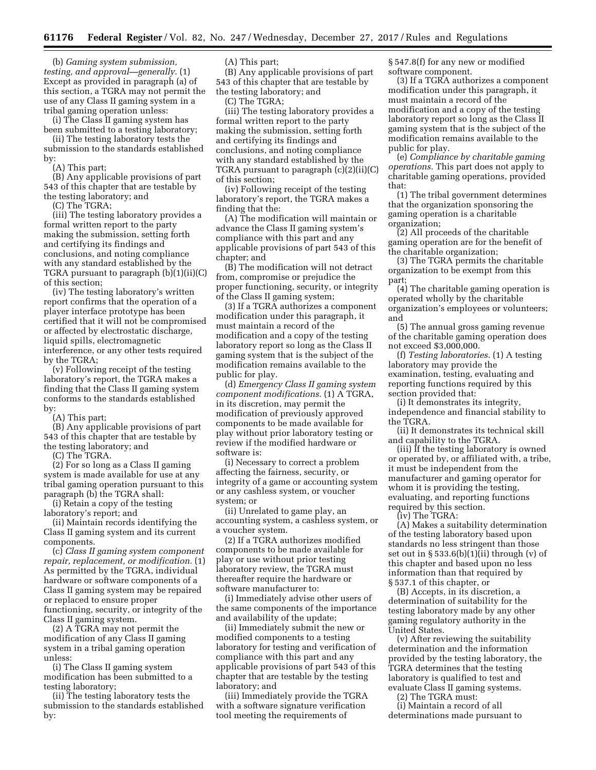(b) *Gaming system submission, testing, and approval—generally.* (1) Except as provided in paragraph (a) of this section, a TGRA may not permit the use of any Class II gaming system in a tribal gaming operation unless:

(i) The Class II gaming system has been submitted to a testing laboratory; (ii) The testing laboratory tests the

submission to the standards established by:

(A) This part;

(B) Any applicable provisions of part 543 of this chapter that are testable by the testing laboratory; and

(C) The TGRA;

(iii) The testing laboratory provides a formal written report to the party making the submission, setting forth and certifying its findings and conclusions, and noting compliance with any standard established by the TGRA pursuant to paragraph (b)(1)(ii)(C) of this section;

(iv) The testing laboratory's written report confirms that the operation of a player interface prototype has been certified that it will not be compromised or affected by electrostatic discharge, liquid spills, electromagnetic interference, or any other tests required by the TGRA;

(v) Following receipt of the testing laboratory's report, the TGRA makes a finding that the Class II gaming system conforms to the standards established by:

(A) This part;

(B) Any applicable provisions of part 543 of this chapter that are testable by the testing laboratory; and

(C) The TGRA.

(2) For so long as a Class II gaming system is made available for use at any tribal gaming operation pursuant to this paragraph (b) the TGRA shall:

(i) Retain a copy of the testing laboratory's report; and

(ii) Maintain records identifying the Class II gaming system and its current components.

(c) *Class II gaming system component repair, replacement, or modification.* (1) As permitted by the TGRA, individual hardware or software components of a Class II gaming system may be repaired or replaced to ensure proper functioning, security, or integrity of the Class II gaming system.

(2) A TGRA may not permit the modification of any Class II gaming system in a tribal gaming operation unless:

(i) The Class II gaming system modification has been submitted to a testing laboratory;

(ii) The testing laboratory tests the submission to the standards established by:

(A) This part;

(B) Any applicable provisions of part 543 of this chapter that are testable by the testing laboratory; and

(C) The TGRA;

(iii) The testing laboratory provides a formal written report to the party making the submission, setting forth and certifying its findings and conclusions, and noting compliance with any standard established by the TGRA pursuant to paragraph (c)(2)(ii)(C) of this section;

(iv) Following receipt of the testing laboratory's report, the TGRA makes a finding that the:

(A) The modification will maintain or advance the Class II gaming system's compliance with this part and any applicable provisions of part 543 of this chapter; and

(B) The modification will not detract from, compromise or prejudice the proper functioning, security, or integrity of the Class II gaming system;

(3) If a TGRA authorizes a component modification under this paragraph, it must maintain a record of the modification and a copy of the testing laboratory report so long as the Class II gaming system that is the subject of the modification remains available to the public for play.

(d) *Emergency Class II gaming system component modifications.* (1) A TGRA, in its discretion, may permit the modification of previously approved components to be made available for play without prior laboratory testing or review if the modified hardware or software is:

(i) Necessary to correct a problem affecting the fairness, security, or integrity of a game or accounting system or any cashless system, or voucher system; or

(ii) Unrelated to game play, an accounting system, a cashless system, or a voucher system.

(2) If a TGRA authorizes modified components to be made available for play or use without prior testing laboratory review, the TGRA must thereafter require the hardware or software manufacturer to:

(i) Immediately advise other users of the same components of the importance and availability of the update;

(ii) Immediately submit the new or modified components to a testing laboratory for testing and verification of compliance with this part and any applicable provisions of part 543 of this chapter that are testable by the testing laboratory; and

(iii) Immediately provide the TGRA with a software signature verification tool meeting the requirements of

§ 547.8(f) for any new or modified software component.

(3) If a TGRA authorizes a component modification under this paragraph, it must maintain a record of the modification and a copy of the testing laboratory report so long as the Class II gaming system that is the subject of the modification remains available to the public for play.

(e) *Compliance by charitable gaming operations.* This part does not apply to charitable gaming operations, provided that:

(1) The tribal government determines that the organization sponsoring the gaming operation is a charitable organization;

(2) All proceeds of the charitable gaming operation are for the benefit of the charitable organization;

(3) The TGRA permits the charitable organization to be exempt from this part;

(4) The charitable gaming operation is operated wholly by the charitable organization's employees or volunteers; and

(5) The annual gross gaming revenue of the charitable gaming operation does not exceed \$3,000,000.

(f) *Testing laboratories.* (1) A testing laboratory may provide the examination, testing, evaluating and reporting functions required by this section provided that:

(i) It demonstrates its integrity, independence and financial stability to the TGRA.

(ii) It demonstrates its technical skill and capability to the TGRA.

(iii) If the testing laboratory is owned or operated by, or affiliated with, a tribe, it must be independent from the manufacturer and gaming operator for whom it is providing the testing, evaluating, and reporting functions required by this section.

(iv) The TGRA:

(A) Makes a suitability determination of the testing laboratory based upon standards no less stringent than those set out in  $\S 533.6(b)(1)(ii)$  through (v) of this chapter and based upon no less information than that required by § 537.1 of this chapter, or

(B) Accepts, in its discretion, a determination of suitability for the testing laboratory made by any other gaming regulatory authority in the United States.

(v) After reviewing the suitability determination and the information provided by the testing laboratory, the TGRA determines that the testing laboratory is qualified to test and evaluate Class II gaming systems.

(2) The TGRA must:

(i) Maintain a record of all determinations made pursuant to